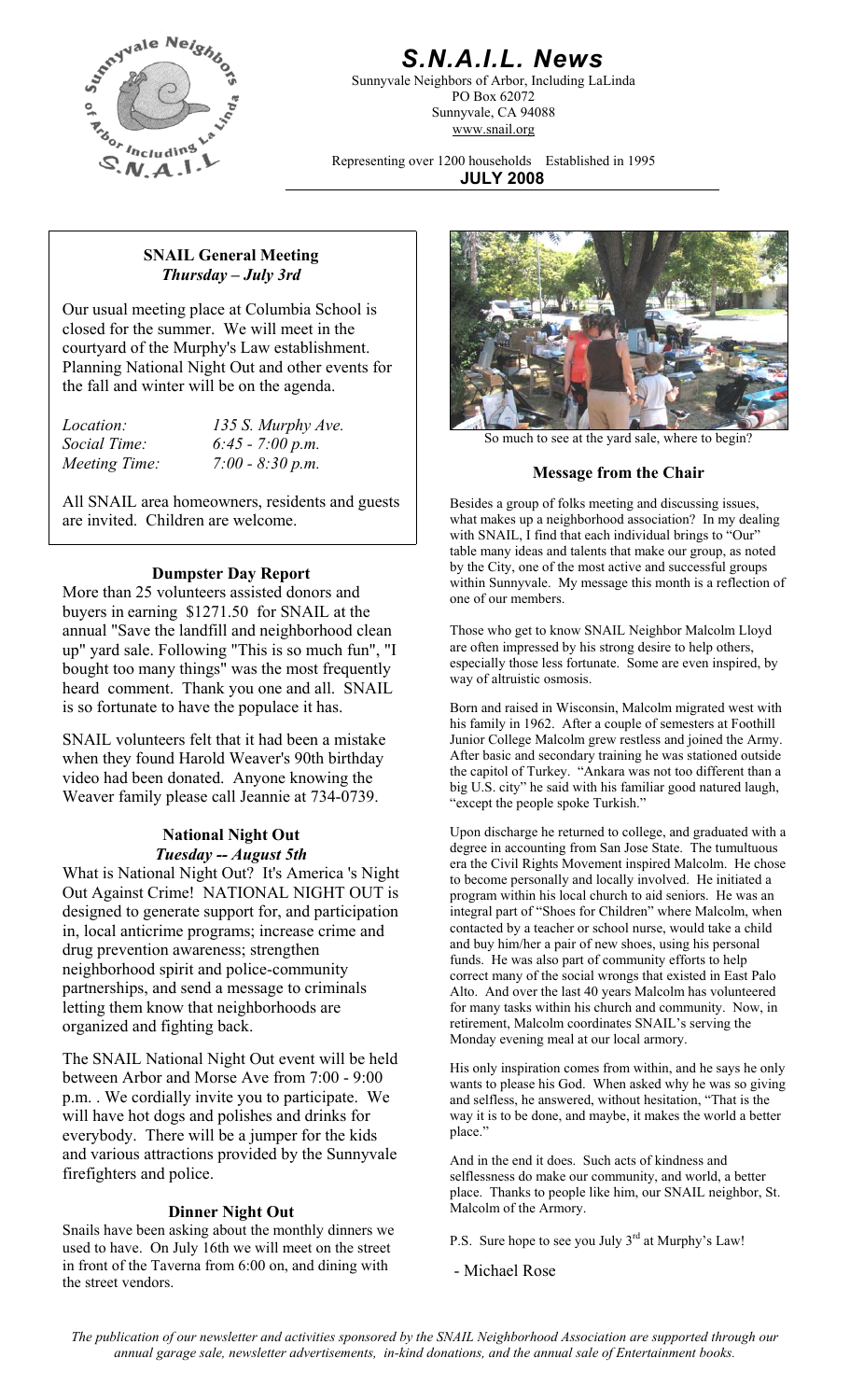

## *S.N.A.I.L. News*

Sunnyvale Neighbors of Arbor, Including LaLinda PO Box 62072 Sunnyvale, CA 94088 www.snail.org

Representing over 1200 households Established in 1995 **JULY 2008**

#### **SNAIL General Meeting**  *Thursday – July 3rd*

Our usual meeting place at Columbia School is closed for the summer. We will meet in the courtyard of the Murphy's Law establishment. Planning National Night Out and other events for the fall and winter will be on the agenda.

*Location: 135 S. Murphy Ave. Social Time: 6:45 - 7:00 p.m.* 

All SNAIL area homeowners, residents and guests are invited. Children are welcome.

#### **Dumpster Day Report**

More than 25 volunteers assisted donors and buyers in earning \$1271.50 for SNAIL at the annual "Save the landfill and neighborhood clean up" yard sale. Following "This is so much fun", "I bought too many things" was the most frequently heard comment. Thank you one and all. SNAIL is so fortunate to have the populace it has.

SNAIL volunteers felt that it had been a mistake when they found Harold Weaver's 90th birthday video had been donated. Anyone knowing the Weaver family please call Jeannie at 734-0739.

#### **National Night Out**  *Tuesday -- August 5th*

What is National Night Out? It's America 's Night Out Against Crime! NATIONAL NIGHT OUT is designed to generate support for, and participation in, local anticrime programs; increase crime and drug prevention awareness; strengthen neighborhood spirit and police-community partnerships, and send a message to criminals letting them know that neighborhoods are organized and fighting back.

The SNAIL National Night Out event will be held between Arbor and Morse Ave from 7:00 - 9:00 p.m. . We cordially invite you to participate. We will have hot dogs and polishes and drinks for everybody. There will be a jumper for the kids and various attractions provided by the Sunnyvale firefighters and police.

#### **Dinner Night Out** Malcolm of the Armory.

Snails have been asking about the monthly dinners we used to have. On July 16th we will meet on the street in front of the Taverna from 6:00 on, and dining with the street vendors.



So much to see at the yard sale, where to begin?

# *Meeting Time:* 7:00 - 8:30 p.m. *Meeting Time:* **7:00 - 8:30 p.m. 1989 Message from the Chair**

Besides a group of folks meeting and discussing issues, what makes up a neighborhood association? In my dealing with SNAIL, I find that each individual brings to "Our" table many ideas and talents that make our group, as noted by the City, one of the most active and successful groups within Sunnyvale. My message this month is a reflection of one of our members.

Those who get to know SNAIL Neighbor Malcolm Lloyd are often impressed by his strong desire to help others, especially those less fortunate. Some are even inspired, by way of altruistic osmosis.

Born and raised in Wisconsin, Malcolm migrated west with his family in 1962. After a couple of semesters at Foothill Junior College Malcolm grew restless and joined the Army. After basic and secondary training he was stationed outside the capitol of Turkey. "Ankara was not too different than a big U.S. city" he said with his familiar good natured laugh, "except the people spoke Turkish."

Upon discharge he returned to college, and graduated with a degree in accounting from San Jose State. The tumultuous era the Civil Rights Movement inspired Malcolm. He chose to become personally and locally involved. He initiated a program within his local church to aid seniors. He was an integral part of "Shoes for Children" where Malcolm, when contacted by a teacher or school nurse, would take a child and buy him/her a pair of new shoes, using his personal funds. He was also part of community efforts to help correct many of the social wrongs that existed in East Palo Alto. And over the last 40 years Malcolm has volunteered for many tasks within his church and community. Now, in retirement, Malcolm coordinates SNAIL's serving the Monday evening meal at our local armory.

His only inspiration comes from within, and he says he only wants to please his God. When asked why he was so giving and selfless, he answered, without hesitation, "That is the way it is to be done, and maybe, it makes the world a better place."

And in the end it does. Such acts of kindness and selflessness do make our community, and world, a better place. Thanks to people like him, our SNAIL neighbor, St.

P.S. Sure hope to see you July 3<sup>rd</sup> at Murphy's Law!

- Michael Rose

*The publication of our newsletter and activities sponsored by the SNAIL Neighborhood Association are supported through our annual garage sale, newsletter advertisements, in-kind donations, and the annual sale of Entertainment books.*